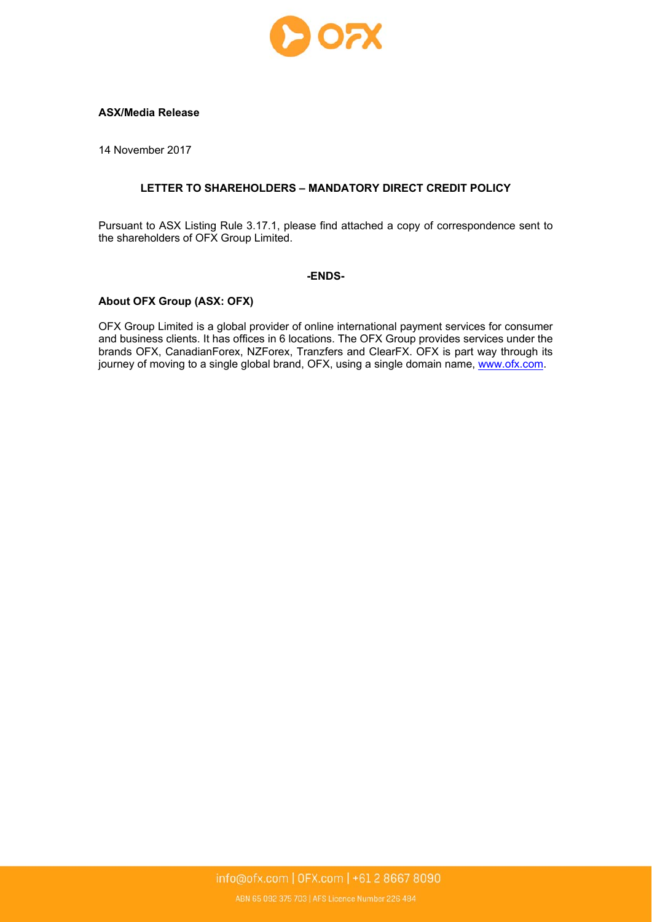

### **ASX/Media Release**

14 November 2017

## **LETTER TO SHAREHOLDERS – MANDATORY DIRECT CREDIT POLICY**

Pursuant to ASX Listing Rule 3.17.1, please find attached a copy of correspondence sent to the shareholders of OFX Group Limited.

### **-ENDS-**

## **About OFX Group (ASX: OFX)**

OFX Group Limited is a global provider of online international payment services for consumer and business clients. It has offices in 6 locations. The OFX Group provides services under the brands OFX, CanadianForex, NZForex, Tranzfers and ClearFX. OFX is part way through its journey of moving to a single global brand, OFX, using a single domain name, www.ofx.com.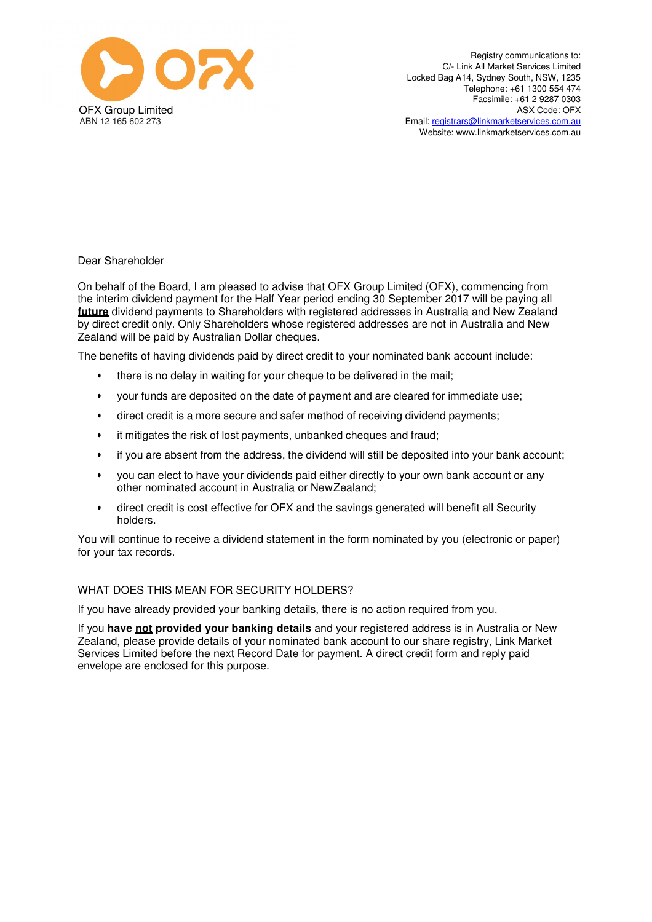

Registry communications to: C/- Link All Market Services Limited Locked Bag A14, Sydney South, NSW, 1235 Telephone: +61 1300 554 474 Facsimile: +61 2 9287 0303 ASX Code: OFX Email: registrars@linkmarketservices.com.au Website: www.linkmarketservices.com.au

Dear Shareholder

On behalf of the Board, I am pleased to advise that OFX Group Limited (OFX), commencing from the interim dividend payment for the Half Year period ending 30 September 2017 will be paying all **future** dividend payments to Shareholders with registered addresses in Australia and New Zealand by direct credit only. Only Shareholders whose registered addresses are not in Australia and New Zealand will be paid by Australian Dollar cheques.

The benefits of having dividends paid by direct credit to your nominated bank account include:

- there is no delay in waiting for your cheque to be delivered in the mail;
- your funds are deposited on the date of payment and are cleared for immediate use;
- direct credit is a more secure and safer method of receiving dividend payments;
- it mitigates the risk of lost payments, unbanked cheques and fraud;
- if you are absent from the address, the dividend will still be deposited into your bank account;
- you can elect to have your dividends paid either directly to your own bank account or any other nominated account in Australia or New Zealand;
- direct credit is cost effective for OFX and the savings generated will benefit all Security holders.

You will continue to receive a dividend statement in the form nominated by you (electronic or paper) for your tax records.

### WHAT DOES THIS MEAN FOR SECURITY HOLDERS?

If you have already provided your banking details, there is no action required from you.

If you **have not provided your banking details** and your registered address is in Australia or New Zealand, please provide details of your nominated bank account to our share registry, Link Market Services Limited before the next Record Date for payment. A direct credit form and reply paid envelope are enclosed for this purpose.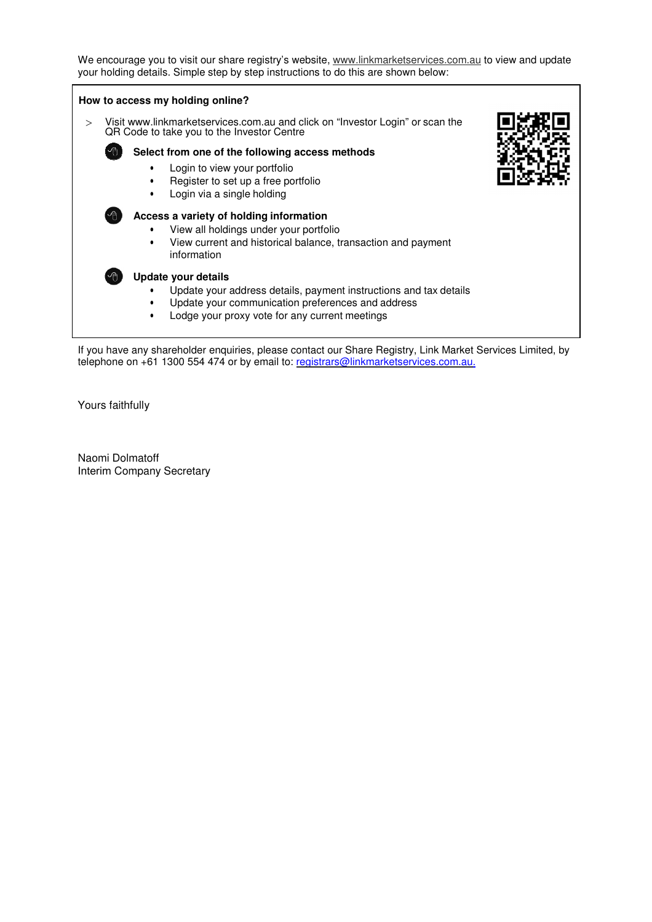We encourage you to visit our share registry's website, www.linkmarketservices.com.au to view and update your holding details. Simple step by step instructions to do this are shown below:



Yours faithfully

Naomi Dolmatoff Interim Company Secretary